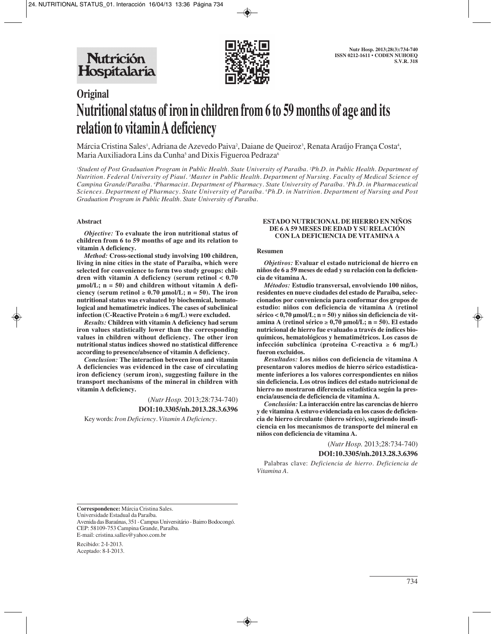

# **Original Nutritional status of iron in children from 6 to 59 months of age and its relation to vitamin A deficiency**

Márcia Cristina Sales<sup>1</sup>, Adriana de Azevedo Paiva<sup>2</sup>, Daiane de Queiroz<sup>3</sup>, Renata Araújo França Costa<sup>4</sup>, Maria Auxiliadora Lins da Cunha<sup>5</sup> and Dixis Figueroa Pedraza<sup>6</sup>

*1 Student of Post Graduation Program in Public Health. State University of Paraíba. 2 Ph.D. in Public Health. Department of Nutrition. Federal University of Piauí. 3 Master in Public Health. Department of Nursing. Faculty of Medical Science of* Campina Grande/Paraíba. <sup>4</sup>Pharmacist. Department of Pharmacy. State University of Paraíba. <sup>5</sup>Ph.D. in Pharmaceutical *Sciences. Department of Pharmacy. State University of Paraíba. 6 Ph.D. in Nutrition. Department of Nursing and Post Graduation Program in Public Health. State University of Paraíba.*

#### **Abstract**

*Objective:* **To evaluate the iron nutritional status of children from 6 to 59 months of age and its relation to vitamin A deficiency.** 

*Method:* **Cross-sectional study involving 100 children, living in nine cities in the state of Paraíba, which were selected for convenience to form two study groups: children with vitamin A deficiency (serum retinol < 0.70 µmol/L; n = 50) and children without vitamin A deficiency (serum retinol** ≥ **0.70 µmol/L; n = 50). The iron nutritional status was evaluated by biochemical, hematological and hematimetric indices. The cases of subclinical infection (C-Reactive Protein** ≥ **6 mg/L) were excluded.**

*Results:* **Children with vitamin A deficiency had serum iron values statistically lower than the corresponding values in children without deficiency. The other iron nutritional status indices showed no statistical difference according to presence/absence of vitamin A deficiency.**

*Conclusion:* **The interaction between iron and vitamin A deficiencies was evidenced in the case of circulating iron deficiency (serum iron), suggesting failure in the transport mechanisms of the mineral in children with vitamin A deficiency.**

> (*Nutr Hosp.* 2013;28:734-740) **DOI:10.3305/nh.2013.28.3.6396**

Key words: *Iron Deficiency. Vitamin A Deficiency.*

#### **ESTADO NUTRICIONAL DE HIERRO EN NIÑOS DE 6 A 59 MESES DE EDAD Y SU RELACIÓN CON LA DEFICIENCIA DE VITAMINA A**

#### **Resumen**

*Objetivos:* **Evaluar el estado nutricional de hierro en niños de 6 a 59 meses de edad y su relación con la deficiencia de vitamina A.** 

*Métodos:* **Estudio transversal, envolviendo 100 niños, residentes en nueve ciudades del estado de Paraíba, seleccionados por conveniencia para conformar dos grupos de estudio: niños con deficiencia de vitamina A (retinol sérico < 0,70 µmol/L; n = 50) y niños sin deficiencia de vitamina A (retinol sérico** ≥ **0,70 µmol/L; n = 50). El estado nutricional de hierro fue evaluado a través de índices bioquímicos, hematológicos y hematimétricos. Los casos de infección subclínica (proteína C-reactiva** ≥ **6 mg/L) fueron excluidos.** 

*Resultados:* **Los niños con deficiencia de vitamina A presentaron valores medios de hierro sérico estadísticamente inferiores a los valores correspondientes en niños sin deficiencia. Los otros índices del estado nutricional de hierro no mostraron diferencia estadística según la presencia/ausencia de deficiencia de vitamina A.** 

*Conclusión:* **La interacción entre las carencias de hierro y de vitamina A estuvo evidenciada en los casos de deficiencia de hierro circulante (hierro sérico), sugiriendo insuficiencia en los mecanismos de transporte del mineral en niños con deficiencia de vitamina A.** 

> (*Nutr Hosp.* 2013;28:734-740) **DOI:10.3305/nh.2013.28.3.6396**

Palabras clave: *Deficiencia de hierro. Deficiencia de Vitamina A.*

**Correspondence:** Márcia Cristina Sales. Universidade Estadual da Paraíba. Avenida das Baraúnas, 351 - Campus Universitário - Bairro Bodocongó. CEP: 58109-753 Campina Grande, Paraíba. E-mail: cristina.salles@yahoo.com.br

Recibido: 2-I-2013. Aceptado: 8-I-2013.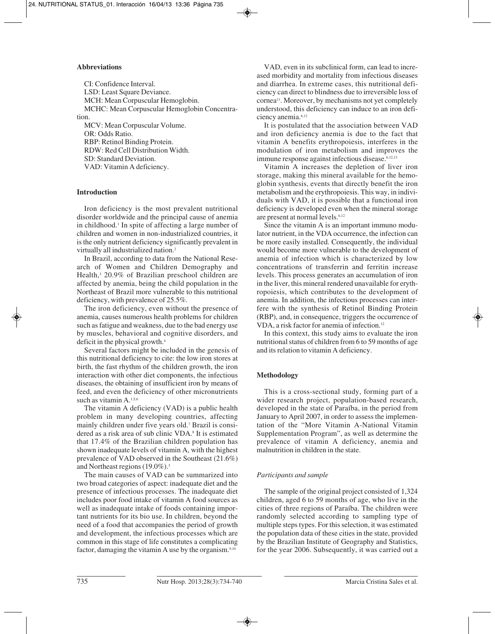## **Abbreviations**

CI: Confidence Interval. LSD: Least Square Deviance. MCH: Mean Corpuscular Hemoglobin. MCHC: Mean Corpuscular Hemoglobin Concentration.

MCV: Mean Corpuscular Volume. OR: Odds Ratio. RBP: Retinol Binding Protein. RDW: Red Cell Distribution Width. SD: Standard Deviation. VAD: Vitamin A deficiency.

## **Introduction**

Iron deficiency is the most prevalent nutritional disorder worldwide and the principal cause of anemia in childhood.1 In spite of affecting a large number of children and women in non-industrialized countries, it is the only nutrient deficiency significantly prevalent in virtually all industrialized nation.2

In Brazil, according to data from the National Research of Women and Children Demography and Health,<sup>3</sup> 20.9% of Brazilian preschool children are affected by anemia, being the child population in the Northeast of Brazil more vulnerable to this nutritional deficiency, with prevalence of 25.5%.

The iron deficiency, even without the presence of anemia, causes numerous health problems for children such as fatigue and weakness, due to the bad energy use by muscles, behavioral and cognitive disorders, and deficit in the physical growth.4

Several factors might be included in the genesis of this nutritional deficiency to cite: the low iron stores at birth, the fast rhythm of the children growth, the iron interaction with other diet components, the infectious diseases, the obtaining of insufficient iron by means of feed, and even the deficiency of other micronutrients such as vitamin A.<sup>1,5,6</sup>

The vitamin A deficiency (VAD) is a public health problem in many developing countries, affecting mainly children under five years old.7 Brazil is considered as a risk area of sub clinic VDA.<sup>8</sup> It is estimated that 17.4% of the Brazilian children population has shown inadequate levels of vitamin A, with the highest prevalence of VAD observed in the Southeast (21.6%) and Northeast regions (19.0%).<sup>3</sup>

The main causes of VAD can be summarized into two broad categories of aspect: inadequate diet and the presence of infectious processes. The inadequate diet includes poor food intake of vitamin A food sources as well as inadequate intake of foods containing important nutrients for its bio use. In children, beyond the need of a food that accompanies the period of growth and development, the infectious processes which are common in this stage of life constitutes a complicating factor, damaging the vitamin A use by the organism. $9,10$ 

VAD, even in its subclinical form, can lead to increased morbidity and mortality from infectious diseases and diarrhea. In extreme cases, this nutritional deficiency can direct to blindness due to irreversible loss of cornea11. Moreover, by mechanisms not yet completely understood, this deficiency can induce to an iron deficiency anemia.6,12

It is postulated that the association between VAD and iron deficiency anemia is due to the fact that vitamin A benefits erythropoiesis, interferes in the modulation of iron metabolism and improves the immune response against infectious disease.<sup>6,12,13</sup>

Vitamin A increases the depletion of liver iron storage, making this mineral available for the hemoglobin synthesis, events that directly benefit the iron metabolism and the erythropoiesis. This way, in individuals with VAD, it is possible that a functional iron deficiency is developed even when the mineral storage are present at normal levels.6,12

Since the vitamin A is an important immuno modulator nutrient, in the VDA occurrence, the infection can be more easily installed. Consequently, the individual would become more vulnerable to the development of anemia of infection which is characterized by low concentrations of transferrin and ferritin increase levels. This process generates an accumulation of iron in the liver, this mineral rendered unavailable for erythropoiesis, which contributes to the development of anemia. In addition, the infectious processes can interfere with the synthesis of Retinol Binding Protein (RBP), and, in consequence, triggers the occurrence of VDA, a risk factor for anemia of infection.<sup>12</sup>

In this context, this study aims to evaluate the iron nutritional status of children from 6 to 59 months of age and its relation to vitamin A deficiency.

# **Methodology**

This is a cross-sectional study, forming part of a wider research project, population-based research, developed in the state of Paraíba, in the period from January to April 2007, in order to assess the implementation of the "More Vitamin A-National Vitamin Supplementation Program", as well as determine the prevalence of vitamin A deficiency, anemia and malnutrition in children in the state.

## *Participants and sample*

The sample of the original project consisted of 1,324 children, aged 6 to 59 months of age, who live in the cities of three regions of Paraíba. The children were randomly selected according to sampling type of multiple steps types. For this selection, it was estimated the population data of these cities in the state, provided by the Brazilian Institute of Geography and Statistics, for the year 2006. Subsequently, it was carried out a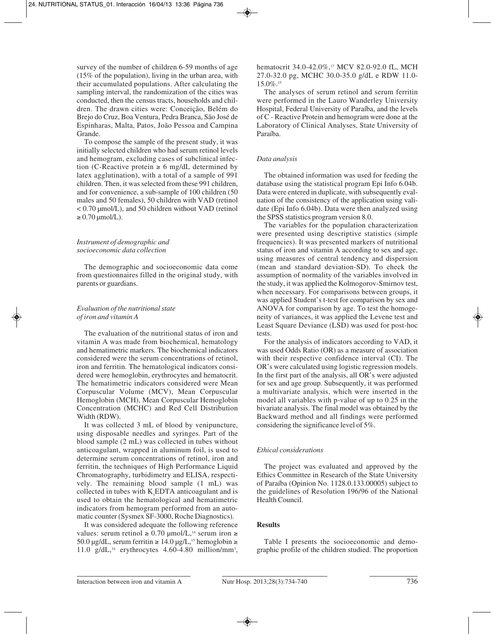survey of the number of children 6-59 months of age (15% of the population), living in the urban area, with their accumulated populations. After calculating the sampling interval, the randomization of the cities was conducted, then the census tracts, households and children. The drawn cities were: Conceição, Belém do Brejo do Cruz, Boa Ventura, Pedra Branca, São José de Espinharas, Malta, Patos, João Pessoa and Campina Grande.

To compose the sample of the present study, it was initially selected children who had serum retinol levels and hemogram, excluding cases of subclinical infection (C-Reactive protein  $\geq 6$  mg/dL determined by latex agglutination), with a total of a sample of 991 children. Then, it was selected from these 991 children, and for convenience, a sub-sample of 100 children (50 males and 50 females), 50 children with VAD (retinol < 0.70 µmol/L), and 50 children without VAD (retinol  $\geq$  0.70  $\mu$ mol/L).

## *Instrument of demographic and socioeconomic data collection*

The demographic and socioeconomic data come from questionnaires filled in the original study, with parents or guardians.

## *Evaluation of the nutritional state of iron and vitamin A*

The evaluation of the nutritional status of iron and vitamin A was made from biochemical, hematology and hematimetric markers. The biochemical indicators considered were the serum concentrations of retinol, iron and ferritin. The hematological indicators considered were hemoglobin, erythrocytes and hematocrit. The hematimetric indicators considered were Mean Corpuscular Volume (MCV), Mean Corpuscular Hemoglobin (MCH), Mean Corpuscular Hemoglobin Concentration (MCHC) and Red Cell Distribution Width (RDW).

It was collected 3 mL of blood by venipuncture, using disposable needles and syringes. Part of the blood sample (2 mL) was collected in tubes without anticoagulant, wrapped in aluminum foil, is used to determine serum concentrations of retinol, iron and ferritin, the techniques of High Performance Liquid Chromatography, turbidimetry and ELISA, respectively. The remaining blood sample (1 mL) was collected in tubes with  $K_{3}E\text{DTA}$  anticoagulant and is used to obtain the hematological and hematimetric indicators from hemogram performed from an automatic counter (Sysmex SF-3000, Roche Diagnostics).

It was considered adequate the following reference values: serum retinol ≥ 0.70 µmol/L,<sup>14</sup> serum iron ≥ 50.0 µg/dL, serum ferritin  $\geq 14.0$  µg/L,<sup>15</sup> hemoglobin  $\geq$ 11.0  $g/dL$ ,<sup>16</sup> erythrocytes 4.60-4.80 million/mm<sup>3</sup>,

hematocrit 34.0-42.0%,<sup>17</sup> MCV 82.0-92.0 fL, MCH 27.0-32.0 pg, MCHC 30.0-35.0 g/dL e RDW 11.0- 15.0%.15

The analyses of serum retinol and serum ferritin were performed in the Lauro Wanderley University Hospital, Federal University of Paraíba, and the levels of C - Reactive Protein and hemogram were done at the Laboratory of Clinical Analyses, State University of Paraíba.

## *Data analysis*

The obtained information was used for feeding the database using the statistical program Epi Info 6.04b. Data were entered in duplicate, with subsequently evaluation of the consistency of the application using validate (Epi Info 6.04b). Data were then analyzed using the SPSS statistics program version 8.0.

The variables for the population characterization were presented using descriptive statistics (simple frequencies). It was presented markers of nutritional status of iron and vitamin A according to sex and age, using measures of central tendency and dispersion (mean and standard deviation-SD). To check the assumption of normality of the variables involved in the study, it was applied the Kolmogorov-Smirnov test, when necessary. For comparisons between groups, it was applied Student's t-test for comparison by sex and ANOVA for comparison by age. To test the homogeneity of variances, it was applied the Levene test and Least Square Deviance (LSD) was used for post-hoc tests.

For the analysis of indicators according to VAD, it was used Odds Ratio (OR) as a measure of association with their respective confidence interval (CI). The OR's were calculated using logistic regression models. In the first part of the analysis, all OR's were adjusted for sex and age group. Subsequently, it was performed a multivariate analysis, which were inserted in the model all variables with p-value of up to 0.25 in the bivariate analysis. The final model was obtained by the Backward method and all findings were performed considering the significance level of 5%.

# *Ethical considerations*

The project was evaluated and approved by the Ethics Committee in Research of the State University of Paraíba (Opinion No. 1128.0.133.00005) subject to the guidelines of Resolution 196/96 of the National Health Council.

## **Results**

Table I presents the socioeconomic and demographic profile of the children studied. The proportion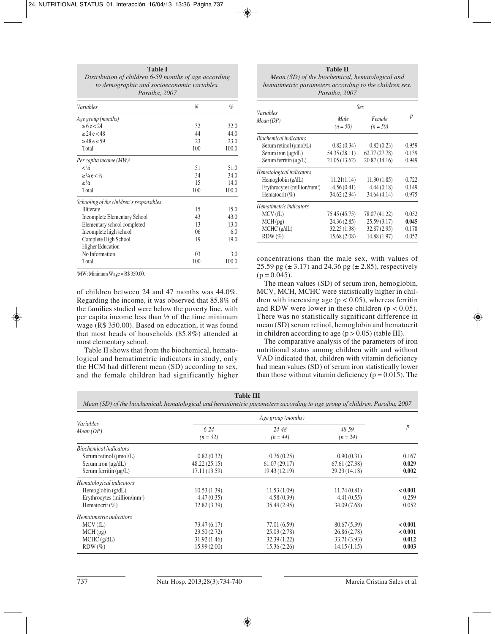| Distribution of children 6-59 months of age according<br>to demographic and socioeconomic variables.<br>Paraiba, 2007 |                |       |  |
|-----------------------------------------------------------------------------------------------------------------------|----------------|-------|--|
| Variables                                                                                                             | N              | $\%$  |  |
| Age group (months)                                                                                                    |                |       |  |
| $\ge 6e < 24$                                                                                                         | 32             | 32.0  |  |
| $\geq$ 24 e < 48                                                                                                      | 44             | 44.0  |  |
| $\geq$ 48 e $\leq$ 59                                                                                                 | 23             | 23.0  |  |
| Total                                                                                                                 | 100            | 100.0 |  |
| Per capita income $(MW)^*$                                                                                            |                |       |  |
| $<\frac{1}{4}$                                                                                                        | 51             | 51.0  |  |
| $\geq$ 1/4 e < 1/2                                                                                                    | 34             | 34.0  |  |
| $\geq \frac{1}{2}$                                                                                                    | 15             | 14.0  |  |
| Total                                                                                                                 | 100            | 100.0 |  |
| Schooling of the children's responsibles                                                                              |                |       |  |
| <b>Illiterate</b>                                                                                                     | 15             | 15.0  |  |
| <b>Incomplete Elementary School</b>                                                                                   | 43             | 43.0  |  |
| Elementary school completed                                                                                           | 13             | 13.0  |  |
| Incomplete high school                                                                                                | 06             | 6.0   |  |
| Complete High School                                                                                                  | 19             | 19.0  |  |
| <b>Higher Education</b>                                                                                               |                |       |  |
| No Information                                                                                                        | 0 <sub>3</sub> | 3.0   |  |
| Total                                                                                                                 | 100            | 100.0 |  |

**Table I**

# MW: Minimum Wage = R\$ 350.00.

of children between 24 and 47 months was 44.0%. Regarding the income, it was observed that 85.8% of the families studied were below the poverty line, with per capita income less than  $\frac{1}{2}$  of the time minimum wage (R\$ 350.00). Based on education, it was found that most heads of households (85.8%) attended at most elementary school.

Table II shows that from the biochemical, hematological and hematimetric indicators in study, only the HCM had different mean (SD) according to sex, and the female children had significantly higher

**Table II** *Mean (SD) of the biochemical, hematological and hematimetric parameters according to the children sex. Paraiba, 2007*

|                                         | Sex                |                      |       |
|-----------------------------------------|--------------------|----------------------|-------|
| <i>Variables</i><br>Mean(DP)            | Male<br>$(n = 50)$ | Female<br>$(n = 50)$ | p     |
| <b>Biochemical indicators</b>           |                    |                      |       |
| Serum retinol (µmol/L)                  | 0.82(0.34)         | 0.82(0.23)           | 0.959 |
| Serum iron $(\mu g/dL)$                 | 54.35 (28.11)      | 62.77 (27.78)        | 0.139 |
| Serum ferritin $(\mu g/L)$              | 21.05 (13.62)      | 20.87(14.16)         | 0.949 |
| Hematological indicators                |                    |                      |       |
| Hemoglobin $(g/dL)$                     | 11.21(1.14)        | 11.30(1.85)          | 0.722 |
| Erythrocytes (million/mm <sup>3</sup> ) | 4.56(0.41)         | 4.44(0.18)           | 0.149 |
| Hematocrit (%)                          | 34.62 (2.94)       | 34.64 (4.14)         | 0.975 |
| Hematimetric indicators                 |                    |                      |       |
| MCV(fL)                                 | 75.45 (45.75)      | 78.07 (41.22)        | 0.052 |
| MCH(pg)                                 | 24.36 (2.85)       | 25.59(3.17)          | 0.045 |
| MCHC (g/dL)                             | 32.25(1.38)        | 32.87 (2.95)         | 0.178 |
| $RDW(\%)$                               | 15.68 (2.08)       | 14.88 (1.97)         | 0.052 |

concentrations than the male sex, with values of 25.59 pg  $(\pm 3.17)$  and 24.36 pg  $(\pm 2.85)$ , respectively  $(p = 0.045)$ .

The mean values (SD) of serum iron, hemoglobin, MCV, MCH, MCHC were statistically higher in children with increasing age ( $p < 0.05$ ), whereas ferritin and RDW were lower in these children  $(p < 0.05)$ . There was no statistically significant difference in mean (SD) serum retinol, hemoglobin and hematocrit in children according to age  $(p > 0.05)$  (table III).

The comparative analysis of the parameters of iron nutritional status among children with and without VAD indicated that, children with vitamin deficiency had mean values (SD) of serum iron statistically lower than those without vitamin deficiency ( $p = 0.015$ ). The

*Mean (SD) of the biochemical, hematological and hematimetric parameters according to age group of children. Paraiba, 2007*

| <i>Variables</i><br>Mean(DP)            |                        | Age group (months)      |                         | $\boldsymbol{p}$ |
|-----------------------------------------|------------------------|-------------------------|-------------------------|------------------|
|                                         | $6 - 24$<br>$(n = 32)$ | $24 - 48$<br>$(n = 44)$ | $48 - 59$<br>$(n = 24)$ |                  |
| <b>Biochemical indicators</b>           |                        |                         |                         |                  |
| Serum retinol $(\mu$ mol/L)             | 0.82(0.32)             | 0.76(0.25)              | 0.90(0.31)              | 0.167            |
| Serum iron $(\mu g/dL)$                 | 48.22(25.15)           | 61.07(29.17)            | 67.61 (27.38)           | 0.029            |
| Serum ferritin (ug/L)                   | 17.11 (13.59)          | 19.43(12.19)            | 29.23 (14.18)           | 0.002            |
| Hematological indicators                |                        |                         |                         |                  |
| Hemoglobin $(g/dL)$                     | 10.53(1.39)            | 11.53(1.09)             | 11.74(0.81)             | < 0.001          |
| Erythrocytes (million/mm <sup>3</sup> ) | 4.47(0.35)             | 4.58(0.39)              | 4.41(0.55)              | 0.259            |
| Hematocrit $(\%)$                       | 32.82 (3.39)           | 35.44(2.95)             | 34.09 (7.68)            | 0.052            |
| Hematimetric indicators                 |                        |                         |                         |                  |
| MCV(fL)                                 | 73.47 (6.17)           | 77.01 (6.59)            | 80.67(5.39)             | < 0.001          |
| MCH(pg)                                 | 23.50(2.72)            | 25.03(2.78)             | 26.86(2.78)             | < 0.001          |
| MCHC (g/dL)                             | 31.92(1.46)            | 32.39(1.22)             | 33.71 (3.93)            | 0.012            |
| $RDW(\%)$                               | 15.99(2.00)            | 15.36(2.26)             | 14.15(1.15)             | 0.003            |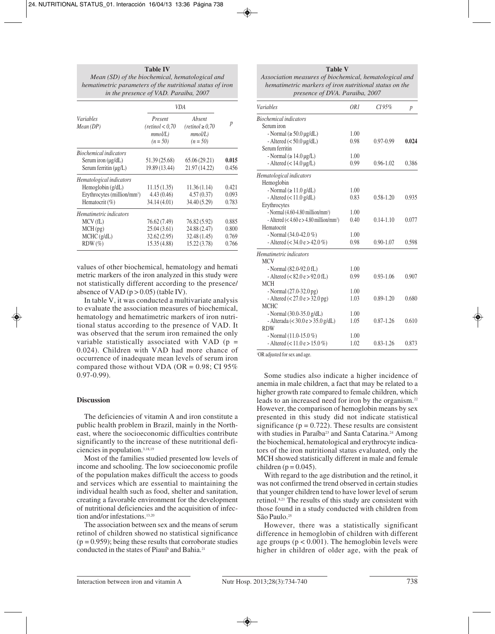| <b>Table IV</b>                                           |
|-----------------------------------------------------------|
| Mean (SD) of the biochemical, hematological and           |
| hematimetric parameters of the nutritional status of iron |
| in the presence of VAD. Paraiba, 2007                     |

|                                         | VDA                                                  |                                                          |                  |
|-----------------------------------------|------------------------------------------------------|----------------------------------------------------------|------------------|
| <i>Variables</i><br>Mean(DP)            | Present<br>(retinol < 0.70)<br>mmol/L)<br>$(n = 50)$ | Absent<br>$(retinol \geq 0.70)$<br>mmol/L)<br>$(n = 50)$ | $\boldsymbol{p}$ |
| <b>Biochemical indicators</b>           |                                                      |                                                          |                  |
| Serum iron $(\mu g/dL)$                 | 51.39 (25.68)                                        | 65.06(29.21)                                             | 0.015            |
| Serum ferritin $(\mu g/L)$              | 19.89 (13.44)                                        | 21.97 (14.22)                                            | 0.456            |
| Hematological indicators                |                                                      |                                                          |                  |
| Hemoglobin $(g/dL)$                     | 11.15(1.35)                                          | 11.36(1.14)                                              | 0.421            |
| Erythrocytes (million/mm <sup>3</sup> ) | 4.43 (0.46)                                          | 4.57(0.37)                                               | 0.093            |
| Hematocrit $(\% )$                      | 34.14 (4.01)                                         | 34.40 (5.29)                                             | 0.783            |
| Hematimetric indicators                 |                                                      |                                                          |                  |
| MCV(fL)                                 | 76.62 (7.49)                                         | 76.82(5.92)                                              | 0.885            |
| MCH(pg)                                 | 25.04(3.61)                                          | 24.88 (2.47)                                             | 0.800            |
| MCHC (g/dL)                             | 32.62(2.95)                                          | 32.48 (1.45)                                             | 0.769            |
| $RDW(\%)$                               | 15.35 (4.88)                                         | 15.22(3.78)                                              | 0.766            |

values of other biochemical, hematology and hemati metric markers of the iron analyzed in this study were not statistically different according to the presence/ absence of VAD  $(p > 0.05)$  (table IV).

In table V, it was conducted a multivariate analysis to evaluate the association measures of biochemical, hematology and hematimetric markers of iron nutritional status according to the presence of VAD. It was observed that the serum iron remained the only variable statistically associated with VAD ( $p =$ 0.024). Children with VAD had more chance of occurrence of inadequate mean levels of serum iron compared those without VDA (OR =  $0.98$ ; CI 95%)  $0.97 - 0.99$ ).

#### **Discussion**

The deficiencies of vitamin A and iron constitute a public health problem in Brazil, mainly in the Northeast, where the socioeconomic difficulties contribute significantly to the increase of these nutritional deficiencies in population.3,18,19

Most of the families studied presented low levels of income and schooling. The low socioeconomic profile of the population makes difficult the access to goods and services which are essential to maintaining the individual health such as food, shelter and sanitation, creating a favorable environment for the development of nutritional deficiencies and the acquisition of infection and/or infestations.<sup>13,20</sup>

The association between sex and the means of serum retinol of children showed no statistical significance  $(p = 0.959)$ ; being these results that corroborate studies conducted in the states of Piauí<sup>8</sup> and Bahia.<sup>21</sup>

**Table V** *Association measures of biochemical, hematological and hematimetric markers of iron nutritional status on the*

|  | presence of DVA. Paraiba, 2007 |  |
|--|--------------------------------|--|
|  |                                |  |

| <b>Variables</b>                                       | OR <sub>1</sub> | CI 95%        | p     |
|--------------------------------------------------------|-----------------|---------------|-------|
| <b>Biochemical indicators</b>                          |                 |               |       |
| Serum iron                                             |                 |               |       |
| - Normal ( $\geq$ 50.0 µg/dL)                          | 1.00            |               |       |
| - Altered $(< 50.0 \,\mu g/dL)$                        | 0.98            | $0.97 - 0.99$ | 0.024 |
| Serum ferritin                                         |                 |               |       |
| - Normal ( $\geq 14.0 \,\mu$ g/L)                      | 1.00            |               |       |
| - Altered $(< 14.0 \,\mu g/L)$                         | 0.99            | $0.96 - 1.02$ | 0.386 |
| Hematological indicators                               |                 |               |       |
| Hemoglobin                                             |                 |               |       |
| - Normal ( $\geq$ 11.0 g/dL)                           | 1.00            |               |       |
| - Altered $(< 11.0 \text{ g/dL})$                      | 0.83            | $0.58 - 1.20$ | 0.935 |
| Erythrocytes                                           |                 |               |       |
| - Normal $(4.60-4.80 \text{ million/mm}^3)$            | 1.00            |               |       |
| - Altered $(< 4.60 e > 4.80$ million/mm <sup>3</sup> ) | 0.40            | $0.14 - 1.10$ | 0.077 |
| Hematocrit                                             |                 |               |       |
| - Normal $(34.0 - 42.0\%)$                             | 1.00            |               |       |
| - Altered $(< 34.0 e > 42.0 %$                         | 0.98            | $0.90 - 1.07$ | 0.598 |
| Hematimetric indicators                                |                 |               |       |
| <b>MCV</b>                                             |                 |               |       |
| - Normal (82.0-92.0 fL)                                | 1.00            |               |       |
| - Altered $(< 82.0 e > 92.0 fL)$                       | 0.99            | $0.93 - 1.06$ | 0.907 |
| <b>MCH</b>                                             |                 |               |       |
| - Normal $(27.0 - 32.0 \text{ pg})$                    | 1.00            |               |       |
| - Altered $(< 27.0 e > 32.0 g)$                        | 1.03            | $0.89 - 1.20$ | 0.680 |
| <b>MCHC</b>                                            |                 |               |       |
| - Normal $(30.0-35.0 \text{ g/dL})$                    | 1.00            |               |       |
| - Alterada (< 30.0 e > 35.0 g/dL)                      | 1.05            | $0.87 - 1.26$ | 0.610 |
| <b>RDW</b>                                             |                 |               |       |
| - Normal $(11.0-15.0\%)$                               | 1.00            |               |       |
| - Altered (< $11.0 e > 15.0 %$ )                       | 1.02            | $0.83 - 1.26$ | 0.873 |

1 OR adjusted for sex and age.

Some studies also indicate a higher incidence of anemia in male children, a fact that may be related to a higher growth rate compared to female children, which leads to an increased need for iron by the organism.<sup>22</sup> However, the comparison of hemoglobin means by sex presented in this study did not indicate statistical significance ( $p = 0.722$ ). These results are consistent with studies in Paraíba<sup>23</sup> and Santa Catarina.<sup>24</sup> Among the biochemical, hematological and erythrocyte indicators of the iron nutritional status evaluated, only the MCH showed statistically different in male and female children ( $p = 0.045$ ).

With regard to the age distribution and the retinol, it was not confirmed the trend observed in certain studies that younger children tend to have lower level of serum retinol.8,21 The results of this study are consistent with those found in a study conducted with children from São Paulo.<sup>25</sup>

However, there was a statistically significant difference in hemoglobin of children with different age groups  $(p < 0.001)$ . The hemoglobin levels were higher in children of older age, with the peak of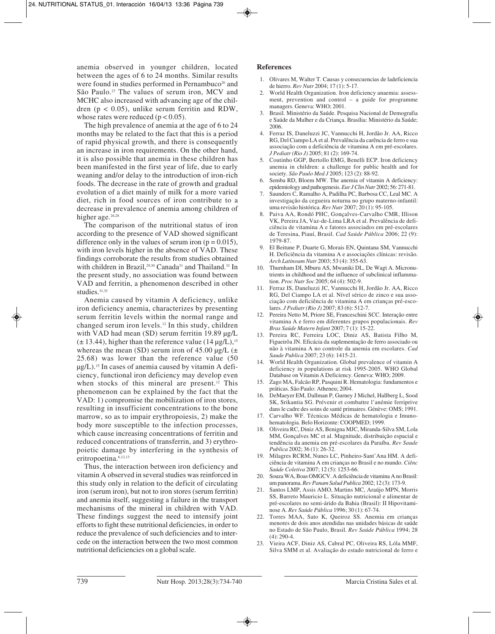anemia observed in younger children, located between the ages of 6 to 24 months. Similar results were found in studies performed in Pernambuco<sup>26</sup> and São Paulo.27 The values of serum iron, MCV and MCHC also increased with advancing age of the children ( $p < 0.05$ ), unlike serum ferritin and RDW, whose rates were reduced ( $p < 0.05$ ).

The high prevalence of anemia at the age of 6 to 24 months may be related to the fact that this is a period of rapid physical growth, and there is consequently an increase in iron requirements. On the other hand, it is also possible that anemia in these children has been manifested in the first year of life, due to early weaning and/or delay to the introduction of iron-rich foods. The decrease in the rate of growth and gradual evolution of a diet mainly of milk for a more varied diet, rich in food sources of iron contribute to a decrease in prevalence of anemia among children of higher age.<sup>26,28</sup>

The comparison of the nutritional status of iron according to the presence of VAD showed significant difference only in the values of serum iron ( $p = 0.015$ ), with iron levels higher in the absence of VAD. These findings corroborate the results from studies obtained with children in Brazil,<sup>29,30</sup> Canada<sup>31</sup> and Thailand.<sup>32</sup> In the present study, no association was found between VAD and ferritin, a phenomenon described in other studies.31,33

Anemia caused by vitamin A deficiency, unlike iron deficiency anemia, characterizes by presenting serum ferritin levels within the normal range and changed serum iron levels.12 In this study, children with VAD had mean (SD) serum ferritin 19.89  $\mu$ g/L  $(\pm 13.44)$ , higher than the reference value (14 µg/L),<sup>15</sup> whereas the mean (SD) serum iron of  $45.00 \mu g/L$  ( $\pm$ 25.68) was lower than the reference value (50  $\mu$ g/L).<sup>15</sup> In cases of anemia caused by vitamin A deficiency, functional iron deficiency may develop even when stocks of this mineral are present.<sup>12</sup> This phenomenon can be explained by the fact that the VAD: 1) compromise the mobilization of iron stores, resulting in insufficient concentrations to the bone marrow, so as to impair erythropoiesis, 2) make the body more susceptible to the infection processes, which cause increasing concentrations of ferritin and reduced concentrations of transferrin, and 3) erythropoietic damage by interfering in the synthesis of eritropoetina.6,12,13

Thus, the interaction between iron deficiency and vitamin A observed in several studies was reinforced in this study only in relation to the deficit of circulating iron (serum iron), but not to iron stores (serum ferritin) and anemia itself, suggesting a failure in the transport mechanisms of the mineral in children with VAD. These findings suggest the need to intensify joint efforts to fight these nutritional deficiencies, in order to reduce the prevalence of such deficiencies and to intercede on the interaction between the two most common nutritional deficiencies on a global scale.

#### **References**

- 1. Olivares M, Walter T. Causas y consecuencias de ladeficiencia de hierro. *Rev Nutr* 2004; 17 (1): 5-17.
- 2. World Health Organization. Iron deficiency anaemia: assessment, prevention and control – a guide for programme managers. Geneva: WHO; 2001.
- 3. Brasil. Ministério da Saúde. Pesquisa Nacional de Demografia e Saúde da Mulher e da Criança. Brasília: Ministério da Saúde; 2006.
- 4. Ferraz IS, Daneluzzi JC, Vannucchi H, Jordão Jr. AA, Ricco RG, Del Ciampo LA et al. Prevalência da carência de ferro e sua associação com a deficiência de vitamina A em pré-escolares. *J Pediatr (Rio J)* 2005; 81 (2): 169-74.
- 5. Coutinho GGP, Bertollo EMG, Benelli ECP. Iron deficiency anemia in children: a challenge for public health and for society. *São Paulo Med J* 2005; 123 (2): 88-92.
- 6. Semba RD, Bloem MW. The anemia of vitamin A deficiency: epidemiology and pathogenesis. *Eur J Clin Nutr* 2002; 56: 271-81.
- 7. Saunders C, Ramalho A, Padilha PC, Barbosa CC, Leal MC. A investigação da cegueira noturna no grupo materno-infantil: uma revisão histórica. *Rev Nutr* 2007; 20 (1): 95-105.
- 8. Paiva AA, Rondó PHC, Gonçalves-Carvalho CMR, Illison VK, Pereira JA, Vaz-de-Lima LRA et al. Prevalência de deficiência de vitamina A e fatores associados em pré-escolares de Teresina, Piauí, Brasil. *Cad Saúde Pública* 2006; 22 (9): 1979-87.
- 9. El Beitune P, Duarte G, Morais EN, Quintana SM, Vannucchi H. Deficiência da vitamina A e associações clínicas: revisão. *Arch Latinoam Nutr* 2003; 53 (4): 355-63.
- 10. Thurnham DI, Mburu AS, Mwaniki DL, De Wagt A. Micronutrients in childhood and the influence of subclinical inflammation. *Proc Nutr Soc* 2005; 64 (4): 502-9.
- 11. Ferraz IS, Daneluzzi JC, Vannucchi H, Jordão Jr. AA, Ricco RG, Del Ciampo LA et al. Nível sérico de zinco e sua associação com deficiência de vitamina A em crianças pré-escolares. *J Pediatr (Rio J)* 2007; 83 (6): 512-7.
- 12. Pereira Netto M, Priore SE, Franceschini SCC. Interação entre vitamina A e ferro em diferentes grupos populacionais. *Rev Bras Saúde Matern Infant* 2007; 7 (1): 15-22.
- 13. Pereira RC, Ferreira LOC, Diniz AS, Batista Filho M, Figueirôa JN. Eficácia da suplementação de ferro associado ou não à vitamina A no controle da anemia em escolares. *Cad Saude Publica* 2007; 23 (6): 1415-21.
- 14. World Health Organization. Global prevalence of vitamin A deficiency in populations at risk 1995-2005. WHO Global Database on Vitamin A Deficiency. Geneva: WHO; 2009.
- 15. Zago MA, Falcão RP, Pasquini R. Hematologia: fundamentos e práticas. São Paulo: Atheneu; 2004.
- 16. DeMaeyer EM, Dallman P, Gurney J Michel, Hallberg L, Sood SK, Srikantia SG. Prévenir et combattre l'anémie ferriprive dans le cadre des soins de santé primaires. Génève: OMS; 1991.
- 17. Carvalho WF. Técnicas Médicas de hematologia e Imunohematologia. Belo Horizonte: COOPMED; 1999.
- 18. Oliveira RC, Diniz AS, Benigna MJC, Miranda-Silva SM, Lola MM, Gonçalves MC et al. Magnitude, distribuição espacial e tendência da anemia em pré-escolares da Paraíba. *Rev Saude Publica* 2002; 36 (1): 26-32.
- 19. Milagres RCRM, Nunes LC, Pinheiro-Sant'Ana HM. A deficiência de vitamina A em crianças no Brasil e no mundo. *Ciênc Saúde Coletiva* 2007; 12 (5): 1253-66.
- 20. Souza WA, Boas OMGCV. A deficiência de vitamina A no Brasil: um panorama. *Rev Panam Salud Publica* 2002; 12 (3): 173-9.
- 21. Santos LMP, Assis AMO, Martins MC, Araújo MPN, Morris SS, Barreto Mauricio L. Situação nutricional e alimentar de pré-escolares no semi-árido da Bahia (Brasil): II Hipovitaminose A. *Rev Saúde Pública* 1996; 30 (1): 67-74.
- 22. Torres MAA, Sato K, Queiroz SS. Anemia em crianças menores de dois anos atendidas nas unidades básicas de saúde no Estado de São Paulo, Brasil. *Rev Saúde Pública* 1994; 28 (4): 290-4.
- 23. Vieira ACF, Diniz AS, Cabral PC, Oliveira RS, Lóla MMF, Silva SMM et al. Avaliação do estado nutricional de ferro e